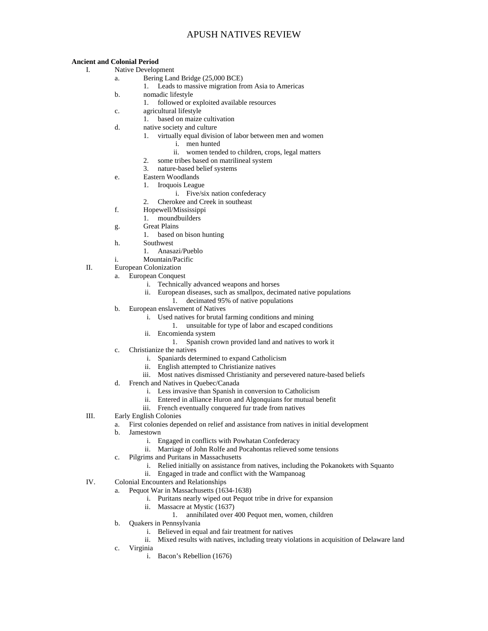#### **Ancient and Colonial Period**

I. Native Development

- a. Bering Land Bridge (25,000 BCE)
	- 1. Leads to massive migration from Asia to Americas
- b. nomadic lifestyle
	- 1. followed or exploited available resources
- c. agricultural lifestyle
	- 1. based on maize cultivation
- d. native society and culture
	- 1. virtually equal division of labor between men and women
		- i. men hunted
		- ii. women tended to children, crops, legal matters
	- 2. some tribes based on matrilineal system
	- 3. nature-based belief systems
- e. Eastern Woodlands
	- 1. Iroquois League
		- i. Five/six nation confederacy
	- 2. Cherokee and Creek in southeast
- f. Hopewell/Mississippi
	- 1. moundbuilders
- g. Great Plains
	- 1. based on bison hunting
- h. Southwest
	- 1. Anasazi/Pueblo
- i. Mountain/Pacific
- II. European Colonization
	- a. European Conquest
		- i. Technically advanced weapons and horses
		- ii. European diseases, such as smallpox, decimated native populations
		- 1. decimated 95% of native populations
	- b. European enslavement of Natives
		- i. Used natives for brutal farming conditions and mining
			- 1. unsuitable for type of labor and escaped conditions
		- ii. Encomienda system
			- 1. Spanish crown provided land and natives to work it
	- c. Christianize the natives
		- i. Spaniards determined to expand Catholicism
		- ii. English attempted to Christianize natives
		- iii. Most natives dismissed Christianity and persevered nature-based beliefs
	- d. French and Natives in Quebec/Canada
		- i. Less invasive than Spanish in conversion to Catholicism
		- ii. Entered in alliance Huron and Algonquians for mutual benefit
		- iii. French eventually conquered fur trade from natives
- III. Early English Colonies
	- a. First colonies depended on relief and assistance from natives in initial development
	- b. Jamestown
		- i. Engaged in conflicts with Powhatan Confederacy
		- ii. Marriage of John Rolfe and Pocahontas relieved some tensions
	- c. Pilgrims and Puritans in Massachusetts
		- i. Relied initially on assistance from natives, including the Pokanokets with Squanto
		- ii. Engaged in trade and conflict with the Wampanoag
- IV. Colonial Encounters and Relationships
	- a. Pequot War in Massachusetts (1634-1638)
		- i. Puritans nearly wiped out Pequot tribe in drive for expansion
		- ii. Massacre at Mystic (1637)
			- 1. annihilated over 400 Pequot men, women, children
	- b. Quakers in Pennsylvania
		- i. Believed in equal and fair treatment for natives
		- ii. Mixed results with natives, including treaty violations in acquisition of Delaware land
	- c. Virginia
		- i. Bacon's Rebellion (1676)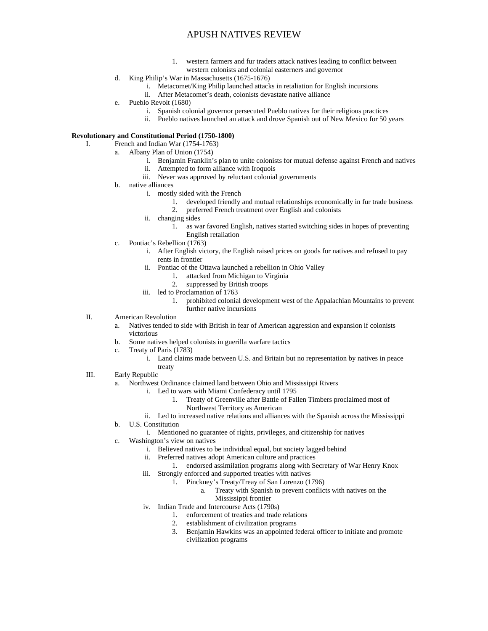- 1. western farmers and fur traders attack natives leading to conflict between western colonists and colonial easterners and governor
- d. King Philip's War in Massachusetts (1675-1676)
	- i. Metacomet/King Philip launched attacks in retaliation for English incursions
	- ii. After Metacomet's death, colonists devastate native alliance
- e. Pueblo Revolt (1680)
	- i. Spanish colonial governor persecuted Pueblo natives for their religious practices
	- ii. Pueblo natives launched an attack and drove Spanish out of New Mexico for 50 years

#### **Revolutionary and Constitutional Period (1750-1800)**

- I. French and Indian War (1754-1763)
	- a. Albany Plan of Union (1754)
		- i. Benjamin Franklin's plan to unite colonists for mutual defense against French and natives ii. Attempted to form alliance with Iroquois
		-
		- iii. Never was approved by reluctant colonial governments
	- b. native alliances
		- i. mostly sided with the French
			- 1. developed friendly and mutual relationships economically in fur trade business
			- 2. preferred French treatment over English and colonists
		- ii. changing sides
			- 1. as war favored English, natives started switching sides in hopes of preventing English retaliation
	- c. Pontiac's Rebellion (1763)
		- i. After English victory, the English raised prices on goods for natives and refused to pay rents in frontier
		- ii. Pontiac of the Ottawa launched a rebellion in Ohio Valley
			- 1. attacked from Michigan to Virginia
			- 2. suppressed by British troops
		- iii. led to Proclamation of 1763
			- 1. prohibited colonial development west of the Appalachian Mountains to prevent further native incursions
- II. American Revolution
	- a. Natives tended to side with British in fear of American aggression and expansion if colonists victorious
	- b. Some natives helped colonists in guerilla warfare tactics
	- c. Treaty of Paris (1783)
		- i. Land claims made between U.S. and Britain but no representation by natives in peace treaty
- III. Early Republic
	- a. Northwest Ordinance claimed land between Ohio and Mississippi Rivers
		- i. Led to wars with Miami Confederacy until 1795
			- 1. Treaty of Greenville after Battle of Fallen Timbers proclaimed most of Northwest Territory as American
			- ii. Led to increased native relations and alliances with the Spanish across the Mississippi
	- b. U.S. Constitution
		- i. Mentioned no guarantee of rights, privileges, and citizenship for natives
	- c. Washington's view on natives
		- i. Believed natives to be individual equal, but society lagged behind
		- ii. Preferred natives adopt American culture and practices
			- 1. endorsed assimilation programs along with Secretary of War Henry Knox
		- iii. Strongly enforced and supported treaties with natives
			- 1. Pinckney's Treaty/Treay of San Lorenzo (1796)
				- a. Treaty with Spanish to prevent conflicts with natives on the
					- Mississippi frontier
		- iv. Indian Trade and Intercourse Acts (1790s)
			- 1. enforcement of treaties and trade relations
			- 2. establishment of civilization programs
			- 3. Benjamin Hawkins was an appointed federal officer to initiate and promote civilization programs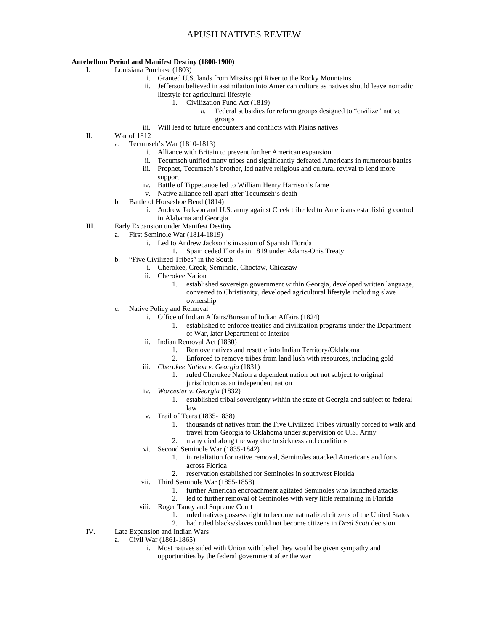#### **Antebellum Period and Manifest Destiny (1800-1900)**

- I. Louisiana Purchase (1803)
	- i. Granted U.S. lands from Mississippi River to the Rocky Mountains
	- ii. Jefferson believed in assimilation into American culture as natives should leave nomadic lifestyle for agricultural lifestyle
		- 1. Civilization Fund Act (1819)
			- a. Federal subsidies for reform groups designed to "civilize" native
				- groups
	- iii. Will lead to future encounters and conflicts with Plains natives
- II. War of 1812
	- a. Tecumseh's War (1810-1813)
		- i. Alliance with Britain to prevent further American expansion
		- ii. Tecumseh unified many tribes and significantly defeated Americans in numerous battles
		- iii. Prophet, Tecumseh's brother, led native religious and cultural revival to lend more support
		- iv. Battle of Tippecanoe led to William Henry Harrison's fame
		- v. Native alliance fell apart after Tecumseh's death
	- b. Battle of Horseshoe Bend (1814)
		- i. Andrew Jackson and U.S. army against Creek tribe led to Americans establishing control in Alabama and Georgia
- III. Early Expansion under Manifest Destiny
	- a. First Seminole War (1814-1819)
		- i. Led to Andrew Jackson's invasion of Spanish Florida
			- 1. Spain ceded Florida in 1819 under Adams-Onis Treaty
	- b. "Five Civilized Tribes" in the South
		- i. Cherokee, Creek, Seminole, Choctaw, Chicasaw
		- ii. Cherokee Nation
			- 1. established sovereign government within Georgia, developed written language, converted to Christianity, developed agricultural lifestyle including slave ownership
	- c. Native Policy and Removal
		- i. Office of Indian Affairs/Bureau of Indian Affairs (1824)
			- 1. established to enforce treaties and civilization programs under the Department of War, later Department of Interior
		- ii. Indian Removal Act (1830)
			- 1. Remove natives and resettle into Indian Territory/Oklahoma
			- 2. Enforced to remove tribes from land lush with resources, including gold
		- iii. *Cherokee Nation v. Georgia* (1831)
			- 1. ruled Cherokee Nation a dependent nation but not subject to original jurisdiction as an independent nation
		- iv. *Worcester v. Georgia* (1832)
			- 1. established tribal sovereignty within the state of Georgia and subject to federal law
		- v. Trail of Tears (1835-1838)
			- 1. thousands of natives from the Five Civilized Tribes virtually forced to walk and travel from Georgia to Oklahoma under supervision of U.S. Army
			- 2. many died along the way due to sickness and conditions
		- vi. Second Seminole War (1835-1842)
			- 1. in retaliation for native removal, Seminoles attacked Americans and forts across Florida
			- 2. reservation established for Seminoles in southwest Florida
		- vii. Third Seminole War (1855-1858)
			- 1. further American encroachment agitated Seminoles who launched attacks
			- 2. led to further removal of Seminoles with very little remaining in Florida
		- viii. Roger Taney and Supreme Court
			- 1. ruled natives possess right to become naturalized citizens of the United States
			- 2. had ruled blacks/slaves could not become citizens in *Dred Scott* decision
- IV. Late Expansion and Indian Wars
	- a. Civil War (1861-1865)
		- i. Most natives sided with Union with belief they would be given sympathy and opportunities by the federal government after the war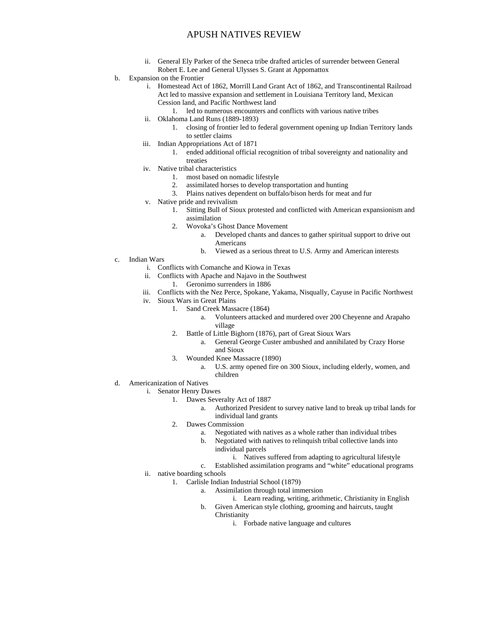- ii. General Ely Parker of the Seneca tribe drafted articles of surrender between General Robert E. Lee and General Ulysses S. Grant at Appomattox
- b. Expansion on the Frontier
	- i. Homestead Act of 1862, Morrill Land Grant Act of 1862, and Transcontinental Railroad Act led to massive expansion and settlement in Louisiana Territory land, Mexican Cession land, and Pacific Northwest land
		- 1. led to numerous encounters and conflicts with various native tribes
	- ii. Oklahoma Land Runs (1889-1893)
		- 1. closing of frontier led to federal government opening up Indian Territory lands to settler claims
	- iii. Indian Appropriations Act of 1871
		- 1. ended additional official recognition of tribal sovereignty and nationality and treaties
	- iv. Native tribal characteristics
		- 1. most based on nomadic lifestyle
		- 2. assimilated horses to develop transportation and hunting
		- 3. Plains natives dependent on buffalo/bison herds for meat and fur
	- v. Native pride and revivalism
		- 1. Sitting Bull of Sioux protested and conflicted with American expansionism and assimilation
		- 2. Wovoka's Ghost Dance Movement
			- a. Developed chants and dances to gather spiritual support to drive out Americans
			- b. Viewed as a serious threat to U.S. Army and American interests
- c. Indian Wars
	- i. Conflicts with Comanche and Kiowa in Texas
	- ii. Conflicts with Apache and Najavo in the Southwest
		- 1. Geronimo surrenders in 1886
	- iii. Conflicts with the Nez Perce, Spokane, Yakama, Nisqually, Cayuse in Pacific Northwest
	- iv. Sioux Wars in Great Plains
		- 1. Sand Creek Massacre (1864)
			- a. Volunteers attacked and murdered over 200 Cheyenne and Arapaho village
		- 2. Battle of Little Bighorn (1876), part of Great Sioux Wars
			- a. General George Custer ambushed and annihilated by Crazy Horse and Sioux
		- 3. Wounded Knee Massacre (1890)
			- a. U.S. army opened fire on 300 Sioux, including elderly, women, and children
- d. Americanization of Natives
	- i. Senator Henry Dawes
		- 1. Dawes Severalty Act of 1887
			- Authorized President to survey native land to break up tribal lands for individual land grants
			- 2. Dawes Commission
				- a. Negotiated with natives as a whole rather than individual tribes
				- b. Negotiated with natives to relinquish tribal collective lands into individual parcels
					- i. Natives suffered from adapting to agricultural lifestyle
				- c. Established assimilation programs and "white" educational programs
	- ii. native boarding schools
		- 1. Carlisle Indian Industrial School (1879)
			- a. Assimilation through total immersion
				- i. Learn reading, writing, arithmetic, Christianity in English
			- b. Given American style clothing, grooming and haircuts, taught Christianity
				- i. Forbade native language and cultures